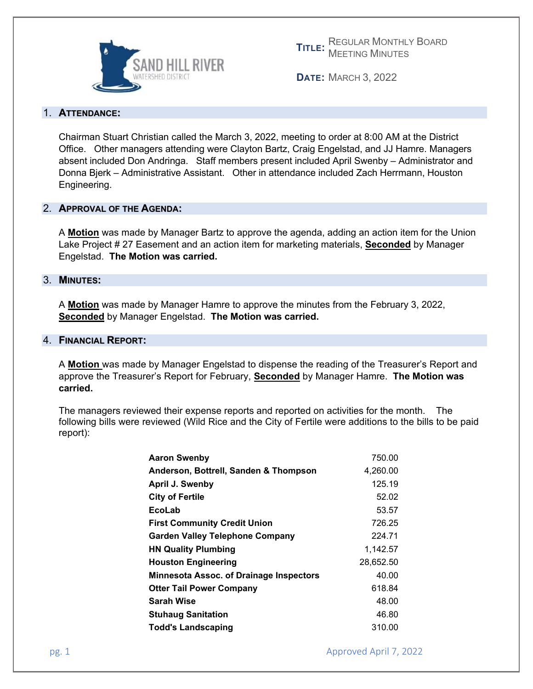

**TITLE:** REGULAR MONTHLY BOARD MEETING MINUTES

**DATE:** MARCH 3, 2022

## 1. **ATTENDANCE:**

Chairman Stuart Christian called the March 3, 2022, meeting to order at 8:00 AM at the District Office. Other managers attending were Clayton Bartz, Craig Engelstad, and JJ Hamre. Managers absent included Don Andringa. Staff members present included April Swenby – Administrator and Donna Bjerk – Administrative Assistant. Other in attendance included Zach Herrmann, Houston Engineering.

# 2. **APPROVAL OF THE AGENDA:**

A **Motion** was made by Manager Bartz to approve the agenda, adding an action item for the Union Lake Project # 27 Easement and an action item for marketing materials, **Seconded** by Manager Engelstad. **The Motion was carried.** 

## 3. **MINUTES:**

A **Motion** was made by Manager Hamre to approve the minutes from the February 3, 2022, **Seconded** by Manager Engelstad. **The Motion was carried.** 

## 4. **FINANCIAL REPORT:**

A **Motion** was made by Manager Engelstad to dispense the reading of the Treasurer's Report and approve the Treasurer's Report for February, **Seconded** by Manager Hamre. **The Motion was carried.**

The managers reviewed their expense reports and reported on activities for the month. The following bills were reviewed (Wild Rice and the City of Fertile were additions to the bills to be paid report):

| <b>Aaron Swenby</b>                            | 750.00    |
|------------------------------------------------|-----------|
| Anderson, Bottrell, Sanden & Thompson          | 4,260.00  |
| April J. Swenby                                | 125.19    |
| <b>City of Fertile</b>                         | 52.02     |
| EcoLab                                         | 53.57     |
| <b>First Community Credit Union</b>            | 726.25    |
| <b>Garden Valley Telephone Company</b>         | 224.71    |
| <b>HN Quality Plumbing</b>                     | 1,142.57  |
| <b>Houston Engineering</b>                     | 28,652.50 |
| <b>Minnesota Assoc. of Drainage Inspectors</b> | 40.00     |
| <b>Otter Tail Power Company</b>                | 618.84    |
| <b>Sarah Wise</b>                              | 48.00     |
| <b>Stuhaug Sanitation</b>                      | 46.80     |
| <b>Todd's Landscaping</b>                      | 310.00    |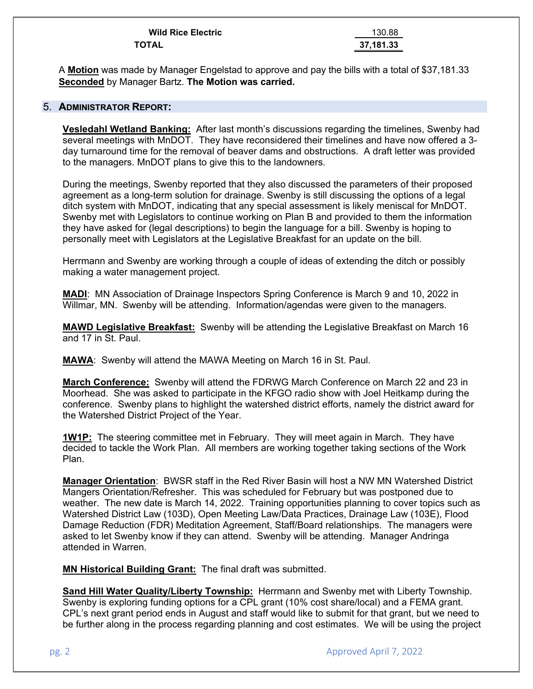| <b>Wild Rice Electric</b> | 130.88    |
|---------------------------|-----------|
| <b>TOTAL</b>              | 37.181.33 |

A **Motion** was made by Manager Engelstad to approve and pay the bills with a total of \$37,181.33 **Seconded** by Manager Bartz. **The Motion was carried.** 

#### 5. **ADMINISTRATOR REPORT:**

**Vesledahl Wetland Banking:** After last month's discussions regarding the timelines, Swenby had several meetings with MnDOT. They have reconsidered their timelines and have now offered a 3 day turnaround time for the removal of beaver dams and obstructions. A draft letter was provided to the managers. MnDOT plans to give this to the landowners.

During the meetings, Swenby reported that they also discussed the parameters of their proposed agreement as a long-term solution for drainage. Swenby is still discussing the options of a legal ditch system with MnDOT, indicating that any special assessment is likely meniscal for MnDOT. Swenby met with Legislators to continue working on Plan B and provided to them the information they have asked for (legal descriptions) to begin the language for a bill. Swenby is hoping to personally meet with Legislators at the Legislative Breakfast for an update on the bill.

Herrmann and Swenby are working through a couple of ideas of extending the ditch or possibly making a water management project.

**MADI**: MN Association of Drainage Inspectors Spring Conference is March 9 and 10, 2022 in Willmar, MN. Swenby will be attending. Information/agendas were given to the managers.

**MAWD Legislative Breakfast:** Swenby will be attending the Legislative Breakfast on March 16 and 17 in St. Paul.

**MAWA**: Swenby will attend the MAWA Meeting on March 16 in St. Paul.

**March Conference:** Swenby will attend the FDRWG March Conference on March 22 and 23 in Moorhead. She was asked to participate in the KFGO radio show with Joel Heitkamp during the conference. Swenby plans to highlight the watershed district efforts, namely the district award for the Watershed District Project of the Year.

**1W1P:** The steering committee met in February. They will meet again in March. They have decided to tackle the Work Plan. All members are working together taking sections of the Work Plan.

**Manager Orientation**: BWSR staff in the Red River Basin will host a NW MN Watershed District Mangers Orientation/Refresher. This was scheduled for February but was postponed due to weather. The new date is March 14, 2022. Training opportunities planning to cover topics such as Watershed District Law (103D), Open Meeting Law/Data Practices, Drainage Law (103E), Flood Damage Reduction (FDR) Meditation Agreement, Staff/Board relationships. The managers were asked to let Swenby know if they can attend. Swenby will be attending. Manager Andringa attended in Warren.

**MN Historical Building Grant:** The final draft was submitted.

**Sand Hill Water Quality/Liberty Township:** Herrmann and Swenby met with Liberty Township. Swenby is exploring funding options for a CPL grant (10% cost share/local) and a FEMA grant. CPL's next grant period ends in August and staff would like to submit for that grant, but we need to be further along in the process regarding planning and cost estimates. We will be using the project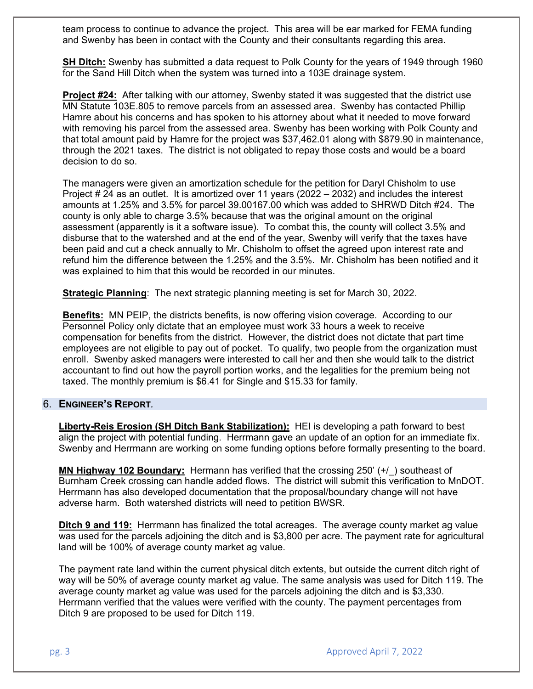team process to continue to advance the project. This area will be ear marked for FEMA funding and Swenby has been in contact with the County and their consultants regarding this area.

**SH Ditch:** Swenby has submitted a data request to Polk County for the years of 1949 through 1960 for the Sand Hill Ditch when the system was turned into a 103E drainage system.

**Project #24:** After talking with our attorney, Swenby stated it was suggested that the district use MN Statute 103E.805 to remove parcels from an assessed area. Swenby has contacted Phillip Hamre about his concerns and has spoken to his attorney about what it needed to move forward with removing his parcel from the assessed area. Swenby has been working with Polk County and that total amount paid by Hamre for the project was \$37,462.01 along with \$879.90 in maintenance, through the 2021 taxes. The district is not obligated to repay those costs and would be a board decision to do so.

The managers were given an amortization schedule for the petition for Daryl Chisholm to use Project # 24 as an outlet. It is amortized over 11 years (2022 – 2032) and includes the interest amounts at 1.25% and 3.5% for parcel 39.00167.00 which was added to SHRWD Ditch #24. The county is only able to charge 3.5% because that was the original amount on the original assessment (apparently is it a software issue). To combat this, the county will collect 3.5% and disburse that to the watershed and at the end of the year, Swenby will verify that the taxes have been paid and cut a check annually to Mr. Chisholm to offset the agreed upon interest rate and refund him the difference between the 1.25% and the 3.5%. Mr. Chisholm has been notified and it was explained to him that this would be recorded in our minutes.

**Strategic Planning**: The next strategic planning meeting is set for March 30, 2022.

**Benefits:** MN PEIP, the districts benefits, is now offering vision coverage. According to our Personnel Policy only dictate that an employee must work 33 hours a week to receive compensation for benefits from the district. However, the district does not dictate that part time employees are not eligible to pay out of pocket. To qualify, two people from the organization must enroll. Swenby asked managers were interested to call her and then she would talk to the district accountant to find out how the payroll portion works, and the legalities for the premium being not taxed. The monthly premium is \$6.41 for Single and \$15.33 for family.

## 6. **ENGINEER'S REPORT***.*

**Liberty-Reis Erosion (SH Ditch Bank Stabilization):** HEI is developing a path forward to best align the project with potential funding. Herrmann gave an update of an option for an immediate fix. Swenby and Herrmann are working on some funding options before formally presenting to the board.

**MN Highway 102 Boundary:** Hermann has verified that the crossing 250' (+/) southeast of Burnham Creek crossing can handle added flows. The district will submit this verification to MnDOT. Herrmann has also developed documentation that the proposal/boundary change will not have adverse harm. Both watershed districts will need to petition BWSR.

**Ditch 9 and 119:** Herrmann has finalized the total acreages. The average county market ag value was used for the parcels adjoining the ditch and is \$3,800 per acre. The payment rate for agricultural land will be 100% of average county market ag value.

The payment rate land within the current physical ditch extents, but outside the current ditch right of way will be 50% of average county market ag value. The same analysis was used for Ditch 119. The average county market ag value was used for the parcels adjoining the ditch and is \$3,330. Herrmann verified that the values were verified with the county. The payment percentages from Ditch 9 are proposed to be used for Ditch 119.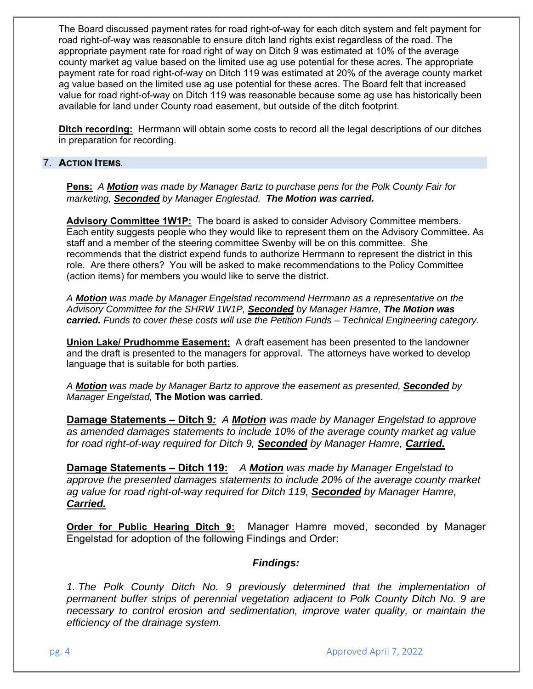The Board discussed payment rates for road right-of-way for each ditch system and felt payment for road right-of-way was reasonable to ensure ditch land rights exist regardless of the road. The appropriate payment rate for road right of way on Ditch 9 was estimated at 10% of the average county market ag value based on the limited use ag use potential for these acres. The appropriate payment rate for road right-of-way on Ditch 119 was estimated at 20% of the average county market ag value based on the limited use ag use potential for these acres. The Board felt that increased value for road right-of-way on Ditch 119 was reasonable because some ag use has historically been available for land under County road easement, but outside of the ditch footprint.

**Ditch recording:** Herrmann will obtain some costs to record all the legal descriptions of our ditches in preparation for recording.

## 7. **ACTION ITEMS***.*

**Pens:** *A Motion was made by Manager Bartz to purchase pens for the Polk County Fair for marketing, Seconded by Manager Englestad. The Motion was carried.* 

**Advisory Committee 1W1P:** The board is asked to consider Advisory Committee members. Each entity suggests people who they would like to represent them on the Advisory Committee. As staff and a member of the steering committee Swenby will be on this committee. She recommends that the district expend funds to authorize Herrmann to represent the district in this role. Are there others? You will be asked to make recommendations to the Policy Committee (action items) for members you would like to serve the district.

*A Motion was made by Manager Engelstad recommend Herrmann as a representative on the Advisory Committee for the SHRW 1W1P, Seconded by Manager Hamre, The Motion was carried. Funds to cover these costs will use the Petition Funds – Technical Engineering category.*

**Union Lake/ Prudhomme Easement:** A draft easement has been presented to the landowner and the draft is presented to the managers for approval. The attorneys have worked to develop language that is suitable for both parties.

*A Motion was made by Manager Bartz to approve the easement as presented, Seconded by Manager Engelstad,* **The Motion was carried.**

**Damage Statements – Ditch 9***: A Motion was made by Manager Engelstad to approve as amended damages statements to include 10% of the average county market ag value for road right-of-way required for Ditch 9, Seconded by Manager Hamre, Carried.* 

**Damage Statements – Ditch 119:** *A Motion was made by Manager Engelstad to approve the presented damages statements to include 20% of the average county market ag value for road right-of-way required for Ditch 119, Seconded by Manager Hamre, Carried.* 

**Order for Public Hearing Ditch 9:** Manager Hamre moved, seconded by Manager Engelstad for adoption of the following Findings and Order:

## *Findings:*

1. The Polk County Ditch No. 9 previously determined that the implementation of *permanent buffer strips of perennial vegetation adjacent to Polk County Ditch No. 9 are necessary to control erosion and sedimentation, improve water quality, or maintain the efficiency of the drainage system.*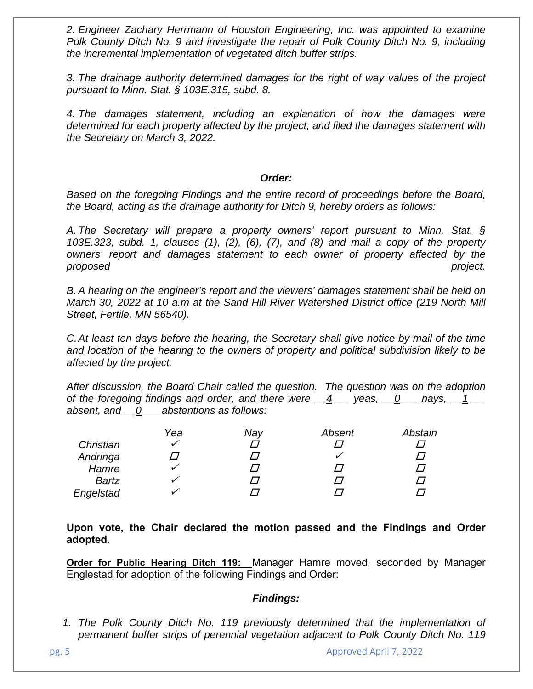*2. Engineer Zachary Herrmann of Houston Engineering, Inc. was appointed to examine Polk County Ditch No. 9 and investigate the repair of Polk County Ditch No. 9, including the incremental implementation of vegetated ditch buffer strips.* 

*3. The drainage authority determined damages for the right of way values of the project pursuant to Minn. Stat. § 103E.315, subd. 8.* 

*4. The damages statement, including an explanation of how the damages were determined for each property affected by the project, and filed the damages statement with the Secretary on March 3, 2022.* 

#### *Order:*

*Based on the foregoing Findings and the entire record of proceedings before the Board, the Board, acting as the drainage authority for Ditch 9, hereby orders as follows:* 

*A. The Secretary will prepare a property owners' report pursuant to Minn. Stat. § 103E.323, subd. 1, clauses (1), (2), (6), (7), and (8) and mail a copy of the property owners' report and damages statement to each owner of property affected by the proposed project.* 

*B. A hearing on the engineer's report and the viewers' damages statement shall be held on March 30, 2022 at 10 a.m at the Sand Hill River Watershed District office (219 North Mill Street, Fertile, MN 56540).* 

*C. At least ten days before the hearing, the Secretary shall give notice by mail of the time and location of the hearing to the owners of property and political subdivision likely to be affected by the project.* 

*After discussion, the Board Chair called the question. The question was on the adoption of the foregoing findings and order, and there were*  $\underline{4}$  yeas,  $\underline{0}$  nays,  $\underline{1}$ *absent, and \_\_0\_\_\_ abstentions as follows:* 

|              | Yea | Nay | Absent | Abstain |
|--------------|-----|-----|--------|---------|
| Christian    |     |     |        |         |
| Andringa     |     |     |        |         |
| Hamre        |     |     |        |         |
| <b>Bartz</b> |     |     |        |         |
| Engelstad    |     |     |        |         |

**Upon vote, the Chair declared the motion passed and the Findings and Order adopted.** 

**Order for Public Hearing Ditch 119:** Manager Hamre moved, seconded by Manager Englestad for adoption of the following Findings and Order:

## *Findings:*

1. The Polk County Ditch No. 119 previously determined that the implementation of *permanent buffer strips of perennial vegetation adjacent to Polk County Ditch No. 119*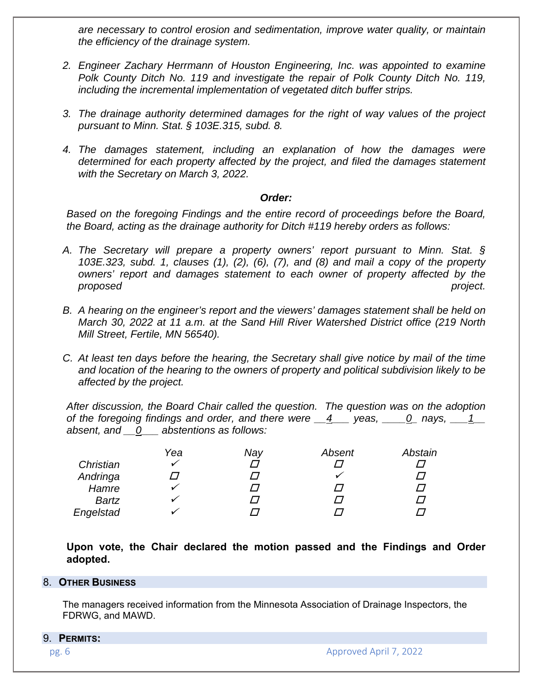*are necessary to control erosion and sedimentation, improve water quality, or maintain the efficiency of the drainage system.* 

- *2. Engineer Zachary Herrmann of Houston Engineering, Inc. was appointed to examine Polk County Ditch No. 119 and investigate the repair of Polk County Ditch No. 119, including the incremental implementation of vegetated ditch buffer strips.*
- *3. The drainage authority determined damages for the right of way values of the project pursuant to Minn. Stat. § 103E.315, subd. 8.*
- *4. The damages statement, including an explanation of how the damages were determined for each property affected by the project, and filed the damages statement with the Secretary on March 3, 2022.*

#### *Order:*

*Based on the foregoing Findings and the entire record of proceedings before the Board, the Board, acting as the drainage authority for Ditch #119 hereby orders as follows:* 

- *A. The Secretary will prepare a property owners' report pursuant to Minn. Stat. § 103E.323, subd. 1, clauses (1), (2), (6), (7), and (8) and mail a copy of the property owners' report and damages statement to each owner of property affected by the proposed project.*
- *B. A hearing on the engineer's report and the viewers' damages statement shall be held on March 30, 2022 at 11 a.m. at the Sand Hill River Watershed District office (219 North Mill Street, Fertile, MN 56540).*
- *C. At least ten days before the hearing, the Secretary shall give notice by mail of the time and location of the hearing to the owners of property and political subdivision likely to be affected by the project.*

*After discussion, the Board Chair called the question. The question was on the adoption of the foregoing findings and order, and there were \_\_4\_\_\_ yeas, \_\_\_\_0\_ nays, \_\_\_1\_\_ absent, and \_\_0\_\_\_ abstentions as follows:* 

|              | Yea | Nay | Absent | Abstain |
|--------------|-----|-----|--------|---------|
| Christian    |     |     |        |         |
| Andringa     |     |     |        |         |
| Hamre        |     |     |        |         |
| <b>Bartz</b> |     | , , |        |         |
| Engelstad    |     |     |        |         |

**Upon vote, the Chair declared the motion passed and the Findings and Order adopted.** 

#### 8. **OTHER BUSINESS**

The managers received information from the Minnesota Association of Drainage Inspectors, the FDRWG, and MAWD.

#### 9. **PERMITS:**

pg. 6 Approved April 7, 2022